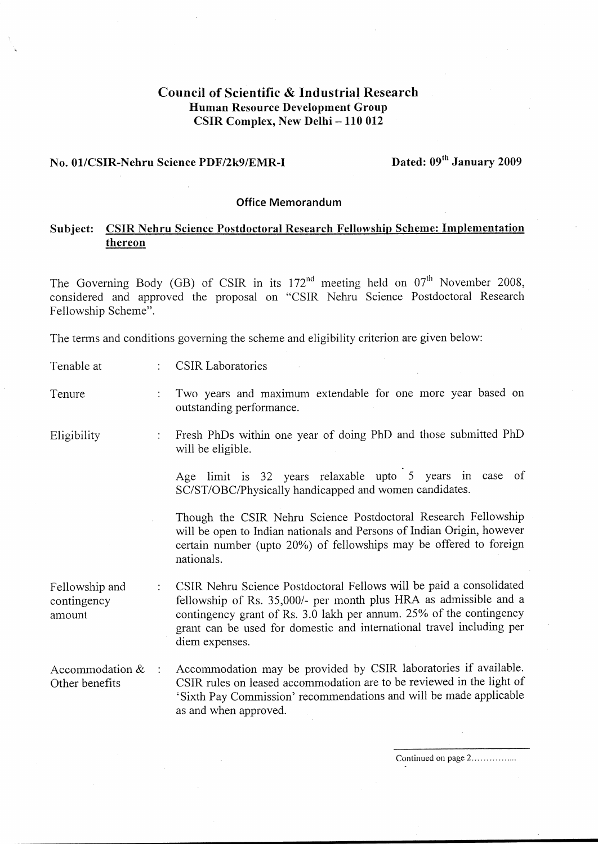# Council of Scientific & Industrial Research Human Resource Development Group CSIR Complex, New Delhi — 110 012

# No. 01/CSIR-Nehru Science PDF/2k9/EMR-I Dated: 09" January 2009

### Office Memorandum

## | Subject: CSIR Nehru Science Postdoctoral Research Fellowship Scheme: Implementation thereon

The Governing Body (GB) of CSIR in its  $172<sup>nd</sup>$  meeting held on  $07<sup>th</sup>$  November 2008, considered and approved the proposal on "CSIR Nehru Science Postdoctoral Research Fellowship Scheme".

The terms and conditions governing the scheme and eligibility criterion are given below:

| Tenable at | <b>CSIR Laboratories</b> |  |
|------------|--------------------------|--|
|------------|--------------------------|--|

Tenure : Two years and maximum extendable for one more year based on outstanding performance.

Eligibility : Fresh PhDs within one year of doing PhD and those submitted PhD will be eligible.

> Age limit is 32 years relaxable upto 5 years in case of SC/ST/OBC/Physically handicapped and women candidates.

> Though the CSIR Nehru Science Postdoctoral Research Fellowship will be open to Indian nationals and Persons of Indian Origin, however certain number (upto 20%) of fellowships may be offered to foreign nationals.

Fellowship and : CSIR Nehru Science Postdoctoral Fellows will be paid a consolidated contingency fellowship of Rs. 35,000/- per month plus HRA as admissible and a amount contingency grant of Rs. 3.0 lakh per annum. 25% of the contingency grant can be used for domestic and international travel including per diem expenses. Council of Scientific & Industrial Research<br>
Estate Human Research Definition of the Science of the Control of the Council of the Council of the Science of the Council of the Council of the Council of the Council of the C

Accommodation  $\&$  : Accommodation may be provided by CSIR laboratories if available. Other benefits CSIR rules on leased accommodation are to be reviewed in the light of 'Sixth Pay Commission' recommendations and will be made applicable as and when approved.  $\frac{25}{6}$  of the tional travel is<br>  $\lambda$  laboratories<br>
be reviewed in the manufacture of the manufacture